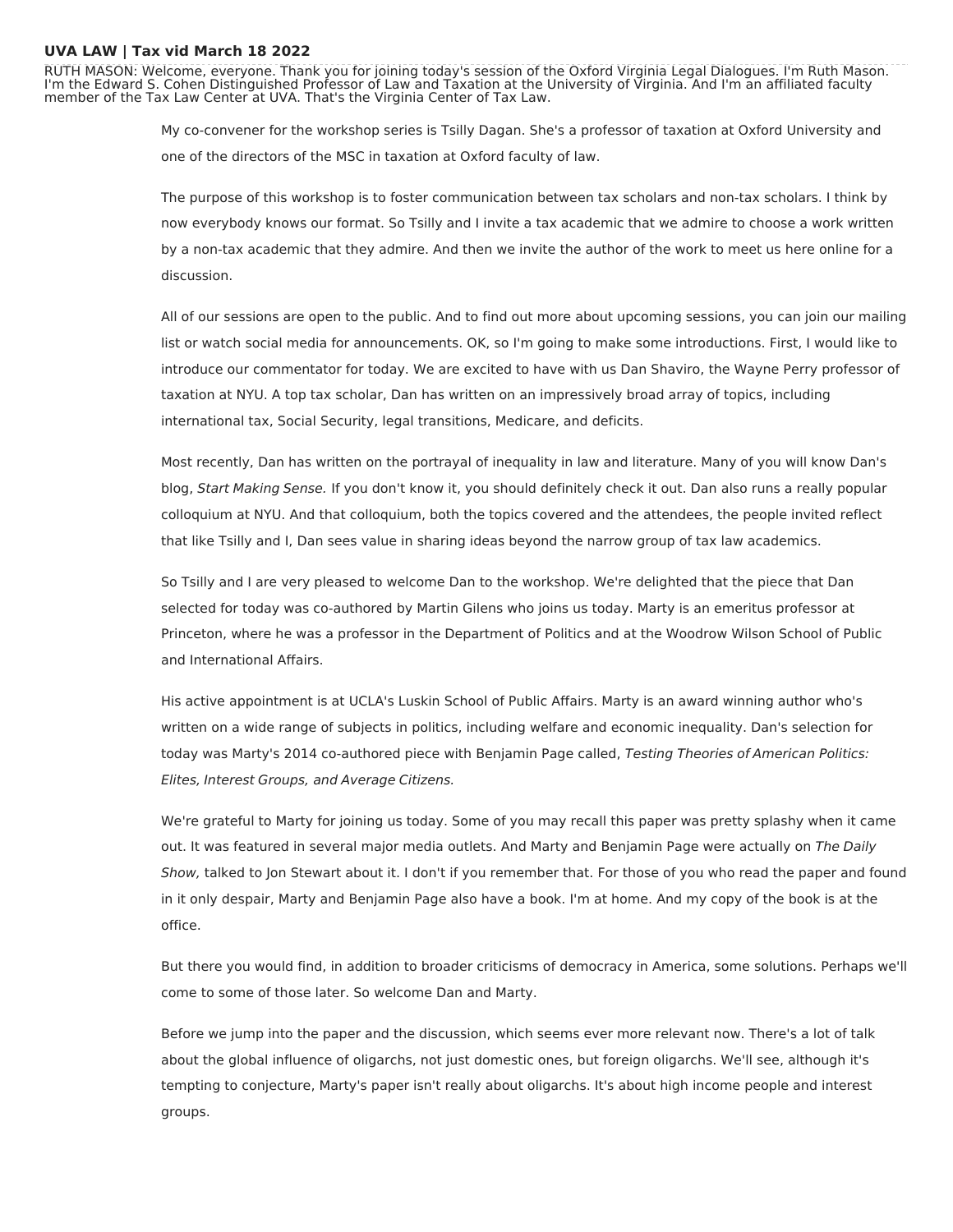## **UVA LAW | Tax vid March 18 2022**

RUTH MASON: Welcome, everyone. Thank you for joining today's session of the Oxford Virginia Legal Dialogues. I'm Ruth Mason. I'm the Edward S. Cohen Distinguished Professor of Law and Taxation at the University of Virginia. And I'm an affiliated faculty member of the Tax Law Center at UVA. That's the Virginia Center of Tax Law.

> My co-convener for the workshop series is Tsilly Dagan. She's a professor of taxation at Oxford University and one of the directors of the MSC in taxation at Oxford faculty of law.

The purpose of this workshop is to foster communication between tax scholars and non-tax scholars. I think by now everybody knows our format. So Tsilly and I invite a tax academic that we admire to choose a work written by a non-tax academic that they admire. And then we invite the author of the work to meet us here online for a discussion.

All of our sessions are open to the public. And to find out more about upcoming sessions, you can join our mailing list or watch social media for announcements. OK, so I'm going to make some introductions. First, I would like to introduce our commentator for today. We are excited to have with us Dan Shaviro, the Wayne Perry professor of taxation at NYU. A top tax scholar, Dan has written on an impressively broad array of topics, including international tax, Social Security, legal transitions, Medicare, and deficits.

Most recently, Dan has written on the portrayal of inequality in law and literature. Many of you will know Dan's blog, Start Making Sense. If you don't know it, you should definitely check it out. Dan also runs a really popular colloquium at NYU. And that colloquium, both the topics covered and the attendees, the people invited reflect that like Tsilly and I, Dan sees value in sharing ideas beyond the narrow group of tax law academics.

So Tsilly and I are very pleased to welcome Dan to the workshop. We're delighted that the piece that Dan selected for today was co-authored by Martin Gilens who joins us today. Marty is an emeritus professor at Princeton, where he was a professor in the Department of Politics and at the Woodrow Wilson School of Public and International Affairs.

His active appointment is at UCLA's Luskin School of Public Affairs. Marty is an award winning author who's written on a wide range of subjects in politics, including welfare and economic inequality. Dan's selection for today was Marty's 2014 co-authored piece with Benjamin Page called, Testing Theories of American Politics: Elites, Interest Groups, and Average Citizens.

We're grateful to Marty for joining us today. Some of you may recall this paper was pretty splashy when it came out. It was featured in several major media outlets. And Marty and Benjamin Page were actually on The Daily Show, talked to Jon Stewart about it. I don't if you remember that. For those of you who read the paper and found in it only despair, Marty and Benjamin Page also have a book. I'm at home. And my copy of the book is at the office.

But there you would find, in addition to broader criticisms of democracy in America, some solutions. Perhaps we'll come to some of those later. So welcome Dan and Marty.

Before we jump into the paper and the discussion, which seems ever more relevant now. There's a lot of talk about the global influence of oligarchs, not just domestic ones, but foreign oligarchs. We'll see, although it's tempting to conjecture, Marty's paper isn't really about oligarchs. It's about high income people and interest groups.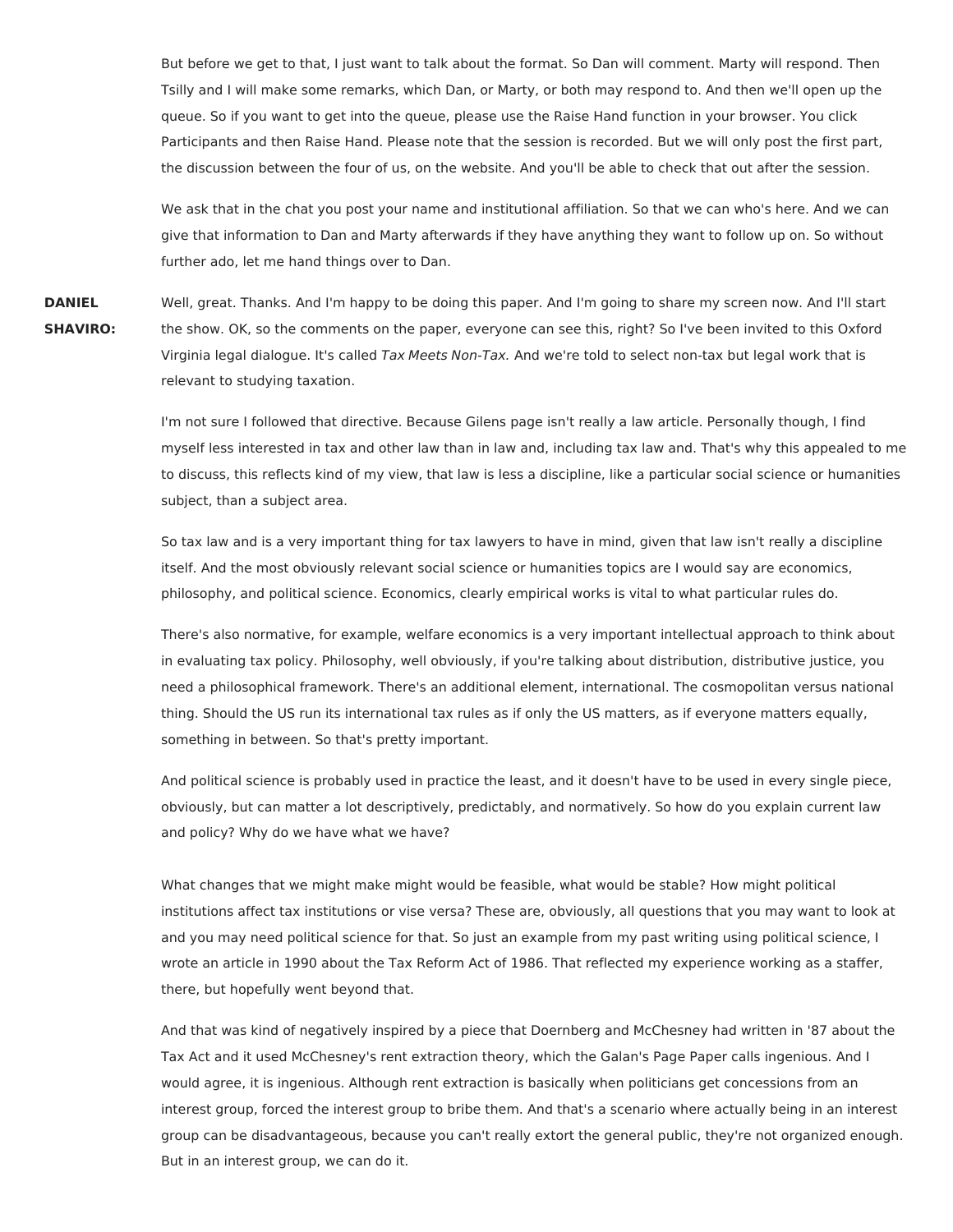But before we get to that, I just want to talk about the format. So Dan will comment. Marty will respond. Then Tsilly and I will make some remarks, which Dan, or Marty, or both may respond to. And then we'll open up the queue. So if you want to get into the queue, please use the Raise Hand function in your browser. You click Participants and then Raise Hand. Please note that the session is recorded. But we will only post the first part, the discussion between the four of us, on the website. And you'll be able to check that out after the session.

We ask that in the chat you post your name and institutional affiliation. So that we can who's here. And we can give that information to Dan and Marty afterwards if they have anything they want to follow up on. So without further ado, let me hand things over to Dan.

**DANIEL SHAVIRO:** Well, great. Thanks. And I'm happy to be doing this paper. And I'm going to share my screen now. And I'll start the show. OK, so the comments on the paper, everyone can see this, right? So I've been invited to this Oxford Virginia legal dialogue. It's called Tax Meets Non-Tax. And we're told to select non-tax but legal work that is relevant to studying taxation.

> I'm not sure I followed that directive. Because Gilens page isn't really a law article. Personally though, I find myself less interested in tax and other law than in law and, including tax law and. That's why this appealed to me to discuss, this reflects kind of my view, that law is less a discipline, like a particular social science or humanities subject, than a subject area.

So tax law and is a very important thing for tax lawyers to have in mind, given that law isn't really a discipline itself. And the most obviously relevant social science or humanities topics are I would say are economics, philosophy, and political science. Economics, clearly empirical works is vital to what particular rules do.

There's also normative, for example, welfare economics is a very important intellectual approach to think about in evaluating tax policy. Philosophy, well obviously, if you're talking about distribution, distributive justice, you need a philosophical framework. There's an additional element, international. The cosmopolitan versus national thing. Should the US run its international tax rules as if only the US matters, as if everyone matters equally, something in between. So that's pretty important.

And political science is probably used in practice the least, and it doesn't have to be used in every single piece, obviously, but can matter a lot descriptively, predictably, and normatively. So how do you explain current law and policy? Why do we have what we have?

What changes that we might make might would be feasible, what would be stable? How might political institutions affect tax institutions or vise versa? These are, obviously, all questions that you may want to look at and you may need political science for that. So just an example from my past writing using political science, I wrote an article in 1990 about the Tax Reform Act of 1986. That reflected my experience working as a staffer, there, but hopefully went beyond that.

And that was kind of negatively inspired by a piece that Doernberg and McChesney had written in '87 about the Tax Act and it used McChesney's rent extraction theory, which the Galan's Page Paper calls ingenious. And I would agree, it is ingenious. Although rent extraction is basically when politicians get concessions from an interest group, forced the interest group to bribe them. And that's a scenario where actually being in an interest group can be disadvantageous, because you can't really extort the general public, they're not organized enough. But in an interest group, we can do it.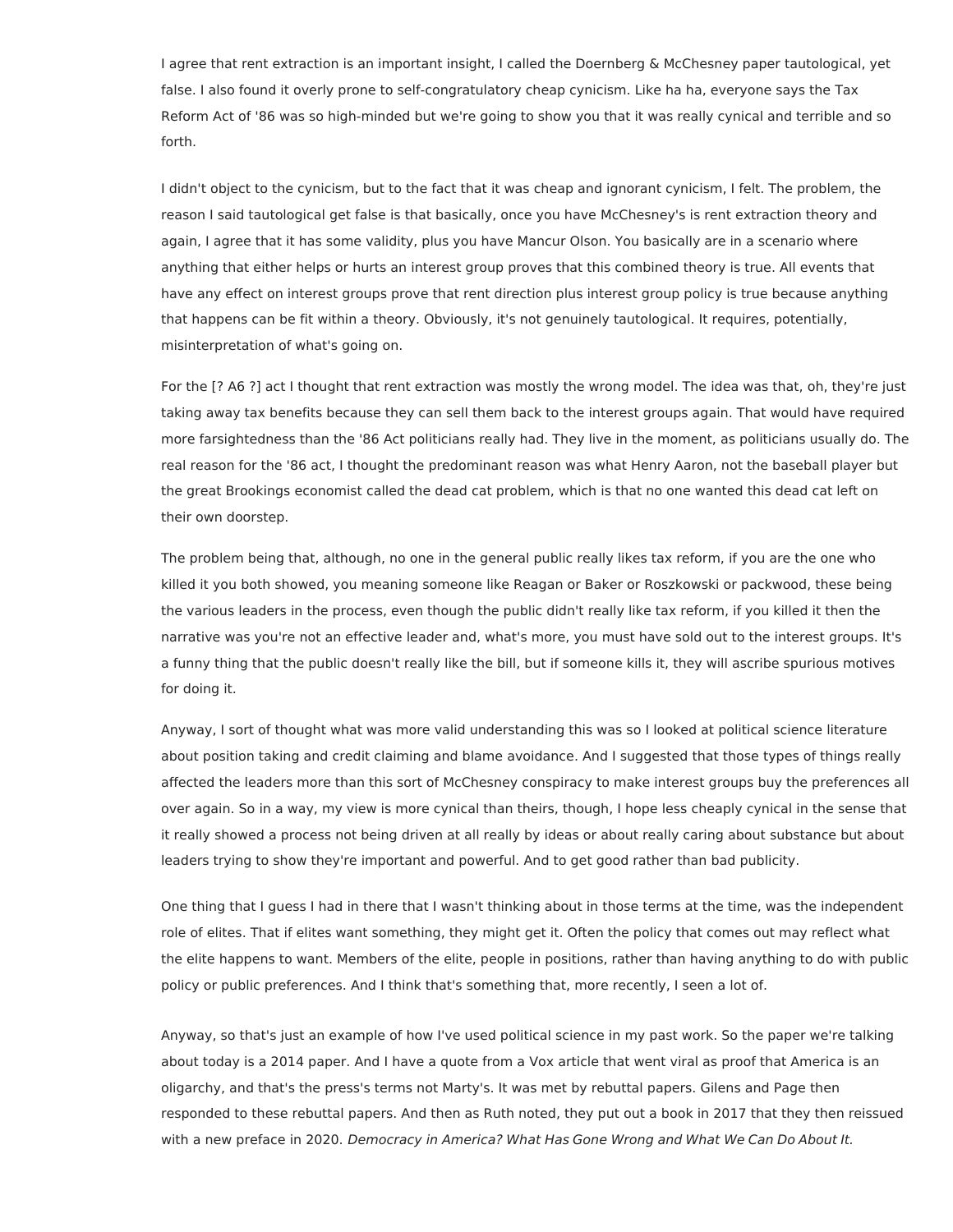I agree that rent extraction is an important insight, I called the Doernberg & McChesney paper tautological, yet false. I also found it overly prone to self-congratulatory cheap cynicism. Like ha ha, everyone says the Tax Reform Act of '86 was so high-minded but we're going to show you that it was really cynical and terrible and so forth.

I didn't object to the cynicism, but to the fact that it was cheap and ignorant cynicism, I felt. The problem, the reason I said tautological get false is that basically, once you have McChesney's is rent extraction theory and again, I agree that it has some validity, plus you have Mancur Olson. You basically are in a scenario where anything that either helps or hurts an interest group proves that this combined theory is true. All events that have any effect on interest groups prove that rent direction plus interest group policy is true because anything that happens can be fit within a theory. Obviously, it's not genuinely tautological. It requires, potentially, misinterpretation of what's going on.

For the [? A6 ?] act I thought that rent extraction was mostly the wrong model. The idea was that, oh, they're just taking away tax benefits because they can sell them back to the interest groups again. That would have required more farsightedness than the '86 Act politicians really had. They live in the moment, as politicians usually do. The real reason for the '86 act, I thought the predominant reason was what Henry Aaron, not the baseball player but the great Brookings economist called the dead cat problem, which is that no one wanted this dead cat left on their own doorstep.

The problem being that, although, no one in the general public really likes tax reform, if you are the one who killed it you both showed, you meaning someone like Reagan or Baker or Roszkowski or packwood, these being the various leaders in the process, even though the public didn't really like tax reform, if you killed it then the narrative was you're not an effective leader and, what's more, you must have sold out to the interest groups. It's a funny thing that the public doesn't really like the bill, but if someone kills it, they will ascribe spurious motives for doing it.

Anyway, I sort of thought what was more valid understanding this was so I looked at political science literature about position taking and credit claiming and blame avoidance. And I suggested that those types of things really affected the leaders more than this sort of McChesney conspiracy to make interest groups buy the preferences all over again. So in a way, my view is more cynical than theirs, though, I hope less cheaply cynical in the sense that it really showed a process not being driven at all really by ideas or about really caring about substance but about leaders trying to show they're important and powerful. And to get good rather than bad publicity.

One thing that I guess I had in there that I wasn't thinking about in those terms at the time, was the independent role of elites. That if elites want something, they might get it. Often the policy that comes out may reflect what the elite happens to want. Members of the elite, people in positions, rather than having anything to do with public policy or public preferences. And I think that's something that, more recently, I seen a lot of.

Anyway, so that's just an example of how I've used political science in my past work. So the paper we're talking about today is a 2014 paper. And I have a quote from a Vox article that went viral as proof that America is an oligarchy, and that's the press's terms not Marty's. It was met by rebuttal papers. Gilens and Page then responded to these rebuttal papers. And then as Ruth noted, they put out a book in 2017 that they then reissued with a new preface in 2020. Democracy in America? What Has Gone Wrong and What We Can Do About It.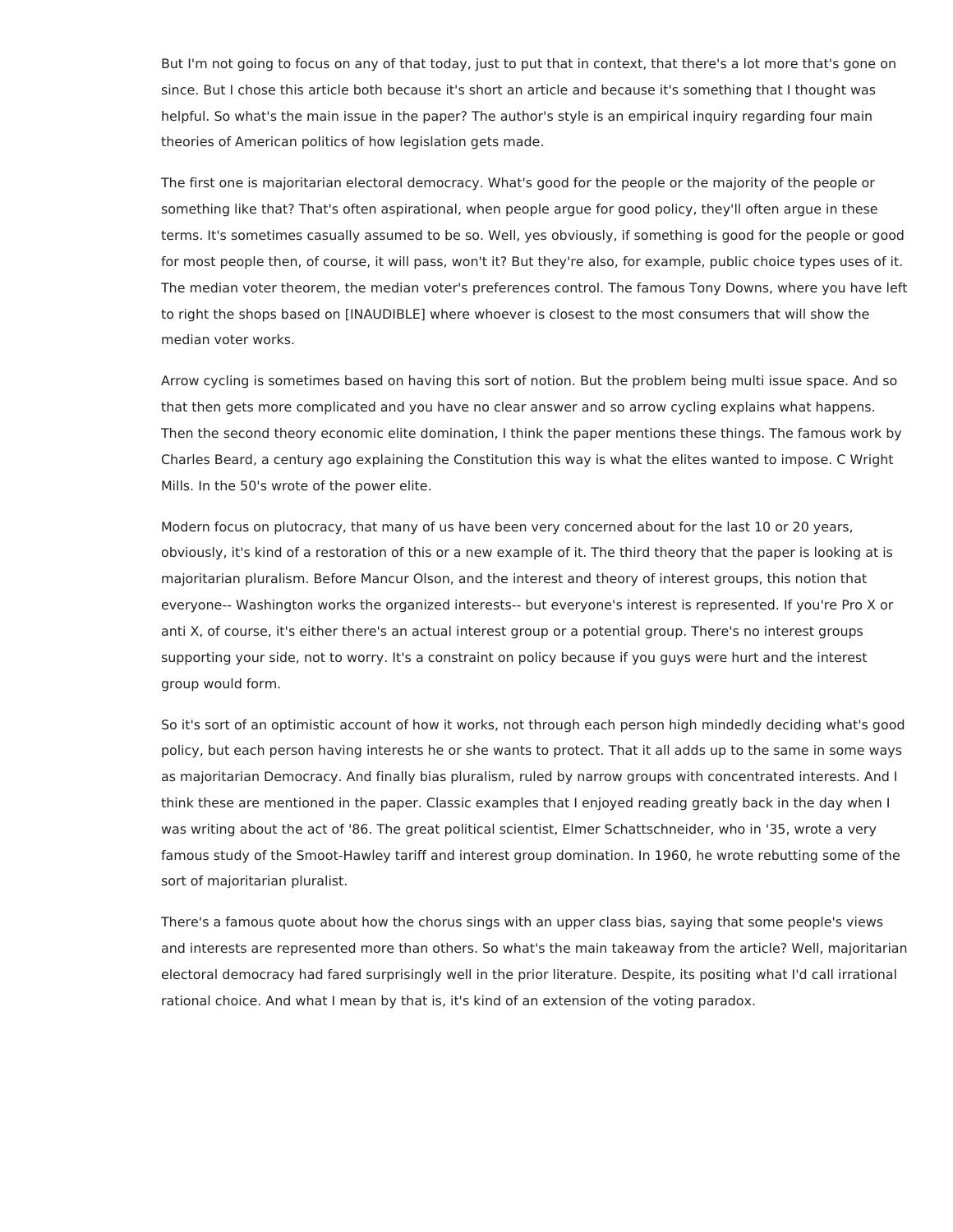But I'm not going to focus on any of that today, just to put that in context, that there's a lot more that's gone on since. But I chose this article both because it's short an article and because it's something that I thought was helpful. So what's the main issue in the paper? The author's style is an empirical inquiry regarding four main theories of American politics of how legislation gets made.

The first one is majoritarian electoral democracy. What's good for the people or the majority of the people or something like that? That's often aspirational, when people argue for good policy, they'll often argue in these terms. It's sometimes casually assumed to be so. Well, yes obviously, if something is good for the people or good for most people then, of course, it will pass, won't it? But they're also, for example, public choice types uses of it. The median voter theorem, the median voter's preferences control. The famous Tony Downs, where you have left to right the shops based on [INAUDIBLE] where whoever is closest to the most consumers that will show the median voter works.

Arrow cycling is sometimes based on having this sort of notion. But the problem being multi issue space. And so that then gets more complicated and you have no clear answer and so arrow cycling explains what happens. Then the second theory economic elite domination, I think the paper mentions these things. The famous work by Charles Beard, a century ago explaining the Constitution this way is what the elites wanted to impose. C Wright Mills. In the 50's wrote of the power elite.

Modern focus on plutocracy, that many of us have been very concerned about for the last 10 or 20 years, obviously, it's kind of a restoration of this or a new example of it. The third theory that the paper is looking at is majoritarian pluralism. Before Mancur Olson, and the interest and theory of interest groups, this notion that everyone-- Washington works the organized interests-- but everyone's interest is represented. If you're Pro X or anti X, of course, it's either there's an actual interest group or a potential group. There's no interest groups supporting your side, not to worry. It's a constraint on policy because if you guys were hurt and the interest group would form.

So it's sort of an optimistic account of how it works, not through each person high mindedly deciding what's good policy, but each person having interests he or she wants to protect. That it all adds up to the same in some ways as majoritarian Democracy. And finally bias pluralism, ruled by narrow groups with concentrated interests. And I think these are mentioned in the paper. Classic examples that I enjoyed reading greatly back in the day when I was writing about the act of '86. The great political scientist, Elmer Schattschneider, who in '35, wrote a very famous study of the Smoot-Hawley tariff and interest group domination. In 1960, he wrote rebutting some of the sort of majoritarian pluralist.

There's a famous quote about how the chorus sings with an upper class bias, saying that some people's views and interests are represented more than others. So what's the main takeaway from the article? Well, majoritarian electoral democracy had fared surprisingly well in the prior literature. Despite, its positing what I'd call irrational rational choice. And what I mean by that is, it's kind of an extension of the voting paradox.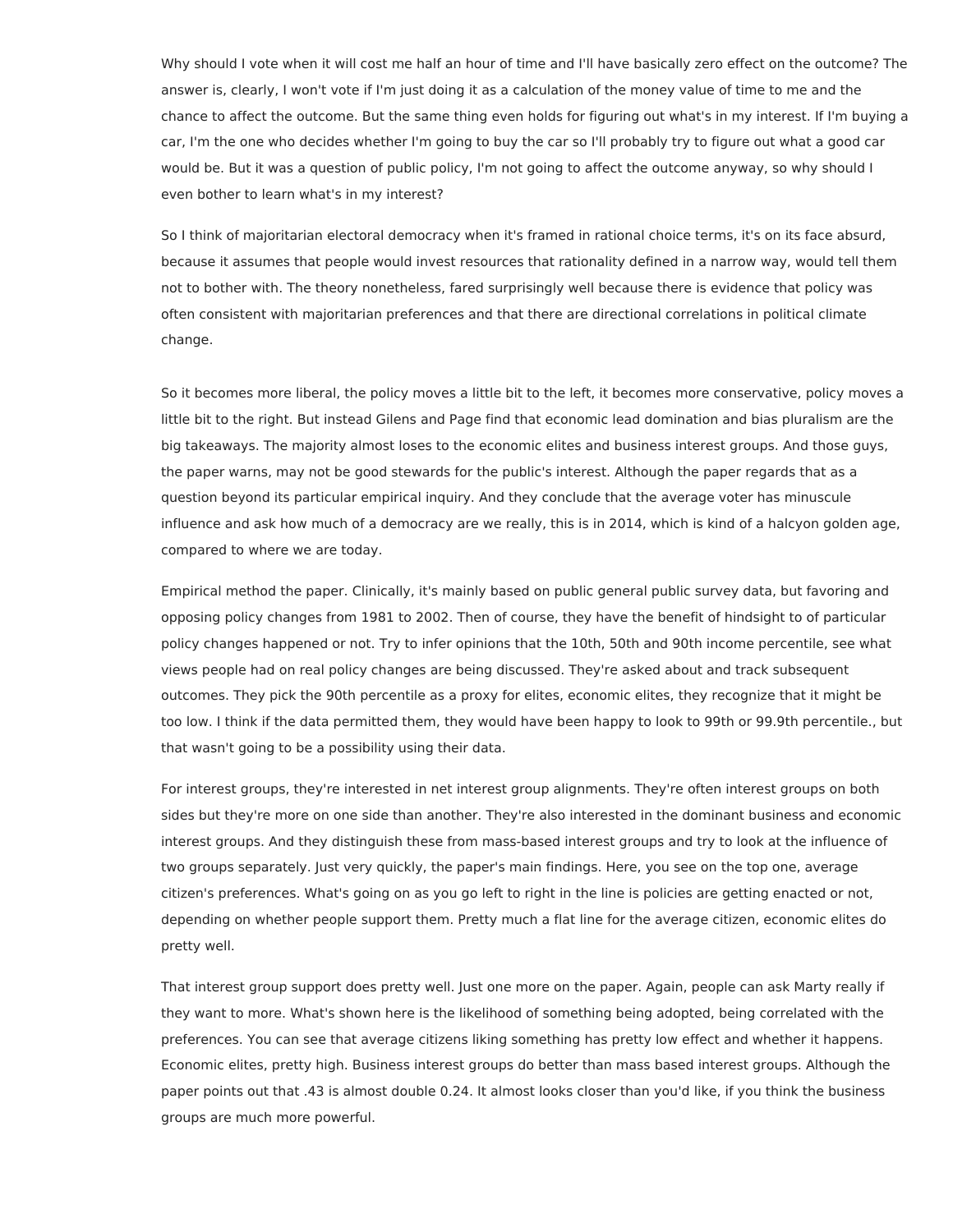Why should I vote when it will cost me half an hour of time and I'll have basically zero effect on the outcome? The answer is, clearly, I won't vote if I'm just doing it as a calculation of the money value of time to me and the chance to affect the outcome. But the same thing even holds for figuring out what's in my interest. If I'm buying a car, I'm the one who decides whether I'm going to buy the car so I'll probably try to figure out what a good car would be. But it was a question of public policy, I'm not going to affect the outcome anyway, so why should I even bother to learn what's in my interest?

So I think of majoritarian electoral democracy when it's framed in rational choice terms, it's on its face absurd, because it assumes that people would invest resources that rationality defined in a narrow way, would tell them not to bother with. The theory nonetheless, fared surprisingly well because there is evidence that policy was often consistent with majoritarian preferences and that there are directional correlations in political climate change.

So it becomes more liberal, the policy moves a little bit to the left, it becomes more conservative, policy moves a little bit to the right. But instead Gilens and Page find that economic lead domination and bias pluralism are the big takeaways. The majority almost loses to the economic elites and business interest groups. And those guys, the paper warns, may not be good stewards for the public's interest. Although the paper regards that as a question beyond its particular empirical inquiry. And they conclude that the average voter has minuscule influence and ask how much of a democracy are we really, this is in 2014, which is kind of a halcyon golden age, compared to where we are today.

Empirical method the paper. Clinically, it's mainly based on public general public survey data, but favoring and opposing policy changes from 1981 to 2002. Then of course, they have the benefit of hindsight to of particular policy changes happened or not. Try to infer opinions that the 10th, 50th and 90th income percentile, see what views people had on real policy changes are being discussed. They're asked about and track subsequent outcomes. They pick the 90th percentile as a proxy for elites, economic elites, they recognize that it might be too low. I think if the data permitted them, they would have been happy to look to 99th or 99.9th percentile., but that wasn't going to be a possibility using their data.

For interest groups, they're interested in net interest group alignments. They're often interest groups on both sides but they're more on one side than another. They're also interested in the dominant business and economic interest groups. And they distinguish these from mass-based interest groups and try to look at the influence of two groups separately. Just very quickly, the paper's main findings. Here, you see on the top one, average citizen's preferences. What's going on as you go left to right in the line is policies are getting enacted or not, depending on whether people support them. Pretty much a flat line for the average citizen, economic elites do pretty well.

That interest group support does pretty well. Just one more on the paper. Again, people can ask Marty really if they want to more. What's shown here is the likelihood of something being adopted, being correlated with the preferences. You can see that average citizens liking something has pretty low effect and whether it happens. Economic elites, pretty high. Business interest groups do better than mass based interest groups. Although the paper points out that .43 is almost double 0.24. It almost looks closer than you'd like, if you think the business groups are much more powerful.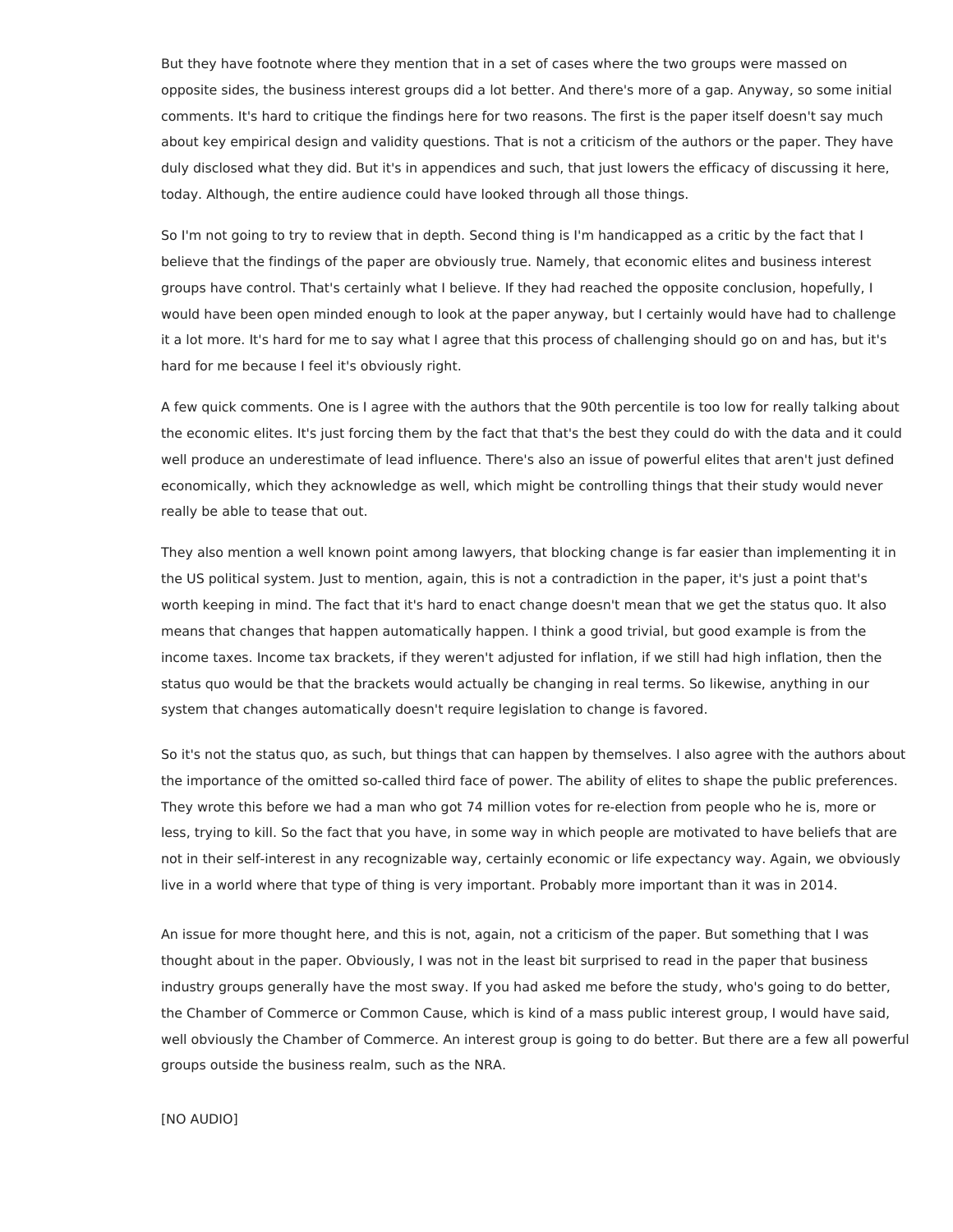But they have footnote where they mention that in a set of cases where the two groups were massed on opposite sides, the business interest groups did a lot better. And there's more of a gap. Anyway, so some initial comments. It's hard to critique the findings here for two reasons. The first is the paper itself doesn't say much about key empirical design and validity questions. That is not a criticism of the authors or the paper. They have duly disclosed what they did. But it's in appendices and such, that just lowers the efficacy of discussing it here, today. Although, the entire audience could have looked through all those things.

So I'm not going to try to review that in depth. Second thing is I'm handicapped as a critic by the fact that I believe that the findings of the paper are obviously true. Namely, that economic elites and business interest groups have control. That's certainly what I believe. If they had reached the opposite conclusion, hopefully, I would have been open minded enough to look at the paper anyway, but I certainly would have had to challenge it a lot more. It's hard for me to say what I agree that this process of challenging should go on and has, but it's hard for me because I feel it's obviously right.

A few quick comments. One is I agree with the authors that the 90th percentile is too low for really talking about the economic elites. It's just forcing them by the fact that that's the best they could do with the data and it could well produce an underestimate of lead influence. There's also an issue of powerful elites that aren't just defined economically, which they acknowledge as well, which might be controlling things that their study would never really be able to tease that out.

They also mention a well known point among lawyers, that blocking change is far easier than implementing it in the US political system. Just to mention, again, this is not a contradiction in the paper, it's just a point that's worth keeping in mind. The fact that it's hard to enact change doesn't mean that we get the status quo. It also means that changes that happen automatically happen. I think a good trivial, but good example is from the income taxes. Income tax brackets, if they weren't adjusted for inflation, if we still had high inflation, then the status quo would be that the brackets would actually be changing in real terms. So likewise, anything in our system that changes automatically doesn't require legislation to change is favored.

So it's not the status quo, as such, but things that can happen by themselves. I also agree with the authors about the importance of the omitted so-called third face of power. The ability of elites to shape the public preferences. They wrote this before we had a man who got 74 million votes for re-election from people who he is, more or less, trying to kill. So the fact that you have, in some way in which people are motivated to have beliefs that are not in their self-interest in any recognizable way, certainly economic or life expectancy way. Again, we obviously live in a world where that type of thing is very important. Probably more important than it was in 2014.

An issue for more thought here, and this is not, again, not a criticism of the paper. But something that I was thought about in the paper. Obviously, I was not in the least bit surprised to read in the paper that business industry groups generally have the most sway. If you had asked me before the study, who's going to do better, the Chamber of Commerce or Common Cause, which is kind of a mass public interest group, I would have said, well obviously the Chamber of Commerce. An interest group is going to do better. But there are a few all powerful groups outside the business realm, such as the NRA.

[NO AUDIO]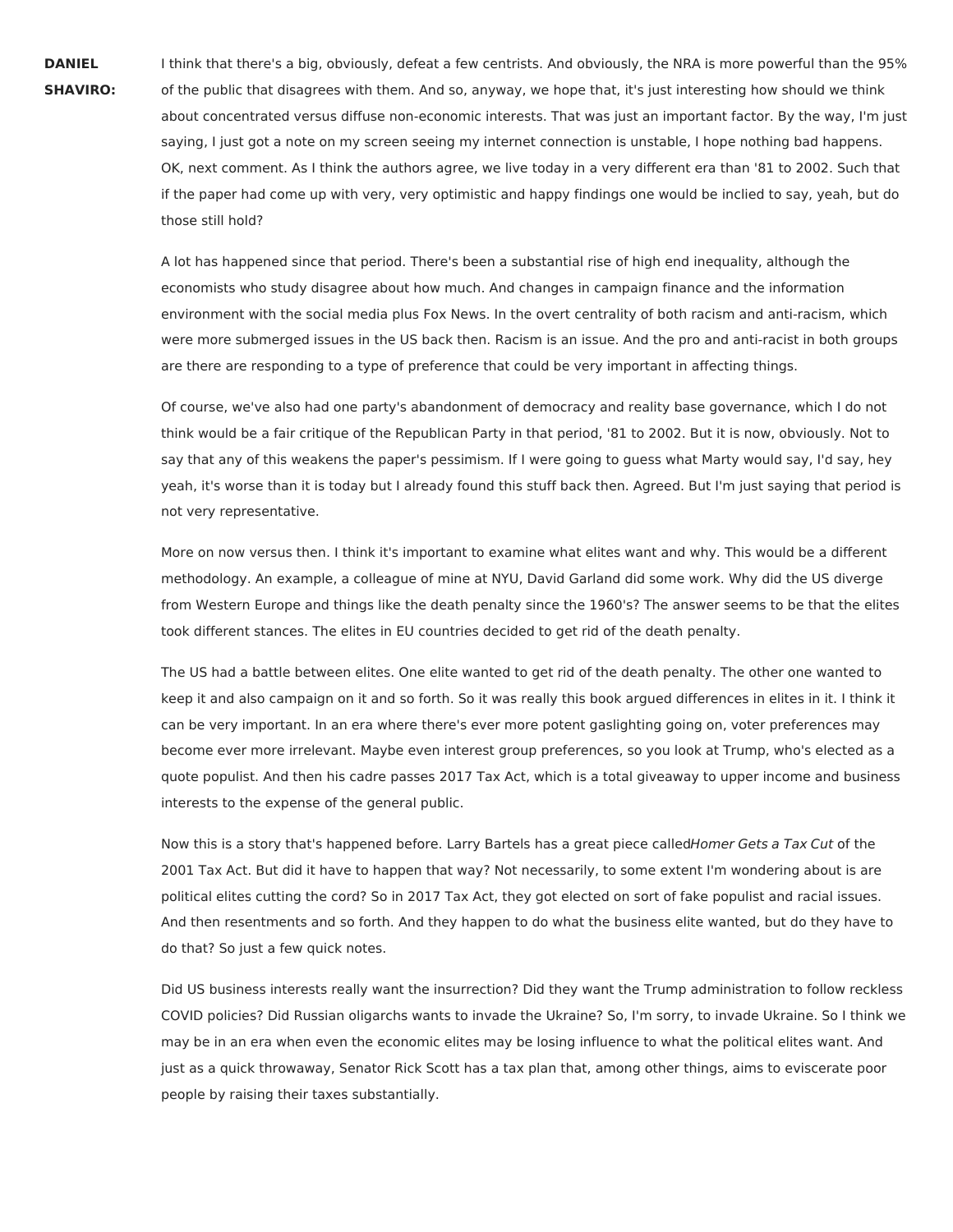**DANIEL SHAVIRO:** I think that there's a big, obviously, defeat a few centrists. And obviously, the NRA is more powerful than the 95% of the public that disagrees with them. And so, anyway, we hope that, it's just interesting how should we think about concentrated versus diffuse non-economic interests. That was just an important factor. By the way, I'm just saying, I just got a note on my screen seeing my internet connection is unstable, I hope nothing bad happens. OK, next comment. As I think the authors agree, we live today in a very different era than '81 to 2002. Such that if the paper had come up with very, very optimistic and happy findings one would be inclied to say, yeah, but do those still hold?

A lot has happened since that period. There's been a substantial rise of high end inequality, although the economists who study disagree about how much. And changes in campaign finance and the information environment with the social media plus Fox News. In the overt centrality of both racism and anti-racism, which were more submerged issues in the US back then. Racism is an issue. And the pro and anti-racist in both groups are there are responding to a type of preference that could be very important in affecting things.

Of course, we've also had one party's abandonment of democracy and reality base governance, which I do not think would be a fair critique of the Republican Party in that period, '81 to 2002. But it is now, obviously. Not to say that any of this weakens the paper's pessimism. If I were going to guess what Marty would say, I'd say, hey yeah, it's worse than it is today but I already found this stuff back then. Agreed. But I'm just saying that period is not very representative.

More on now versus then. I think it's important to examine what elites want and why. This would be a different methodology. An example, a colleague of mine at NYU, David Garland did some work. Why did the US diverge from Western Europe and things like the death penalty since the 1960's? The answer seems to be that the elites took different stances. The elites in EU countries decided to get rid of the death penalty.

The US had a battle between elites. One elite wanted to get rid of the death penalty. The other one wanted to keep it and also campaign on it and so forth. So it was really this book argued differences in elites in it. I think it can be very important. In an era where there's ever more potent gaslighting going on, voter preferences may become ever more irrelevant. Maybe even interest group preferences, so you look at Trump, who's elected as a quote populist. And then his cadre passes 2017 Tax Act, which is a total giveaway to upper income and business interests to the expense of the general public.

Now this is a story that's happened before. Larry Bartels has a great piece calledHomer Gets a Tax Cut of the 2001 Tax Act. But did it have to happen that way? Not necessarily, to some extent I'm wondering about is are political elites cutting the cord? So in 2017 Tax Act, they got elected on sort of fake populist and racial issues. And then resentments and so forth. And they happen to do what the business elite wanted, but do they have to do that? So just a few quick notes.

Did US business interests really want the insurrection? Did they want the Trump administration to follow reckless COVID policies? Did Russian oligarchs wants to invade the Ukraine? So, I'm sorry, to invade Ukraine. So I think we may be in an era when even the economic elites may be losing influence to what the political elites want. And just as a quick throwaway, Senator Rick Scott has a tax plan that, among other things, aims to eviscerate poor people by raising their taxes substantially.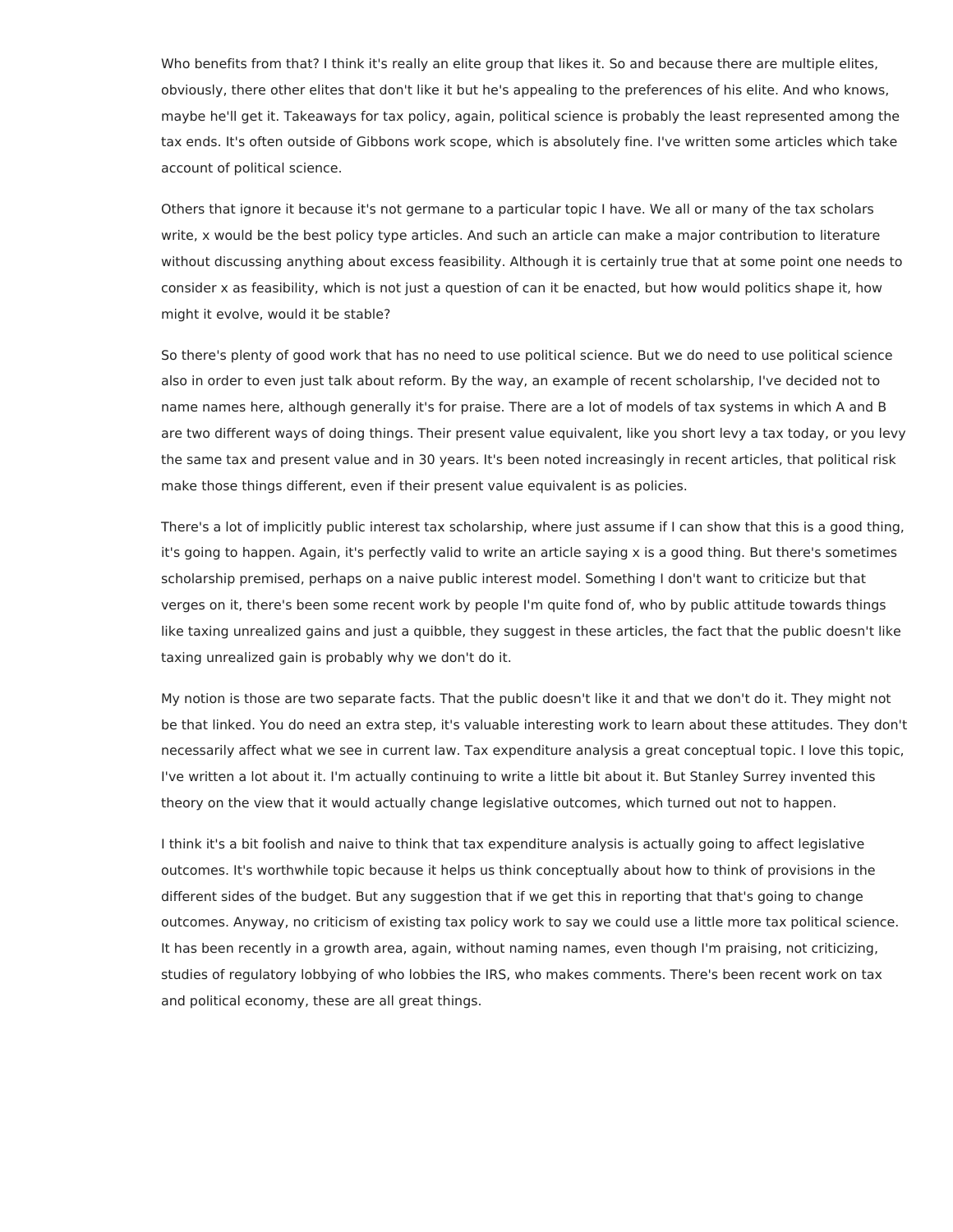Who benefits from that? I think it's really an elite group that likes it. So and because there are multiple elites, obviously, there other elites that don't like it but he's appealing to the preferences of his elite. And who knows, maybe he'll get it. Takeaways for tax policy, again, political science is probably the least represented among the tax ends. It's often outside of Gibbons work scope, which is absolutely fine. I've written some articles which take account of political science.

Others that ignore it because it's not germane to a particular topic I have. We all or many of the tax scholars write, x would be the best policy type articles. And such an article can make a major contribution to literature without discussing anything about excess feasibility. Although it is certainly true that at some point one needs to consider x as feasibility, which is not just a question of can it be enacted, but how would politics shape it, how might it evolve, would it be stable?

So there's plenty of good work that has no need to use political science. But we do need to use political science also in order to even just talk about reform. By the way, an example of recent scholarship, I've decided not to name names here, although generally it's for praise. There are a lot of models of tax systems in which A and B are two different ways of doing things. Their present value equivalent, like you short levy a tax today, or you levy the same tax and present value and in 30 years. It's been noted increasingly in recent articles, that political risk make those things different, even if their present value equivalent is as policies.

There's a lot of implicitly public interest tax scholarship, where just assume if I can show that this is a good thing, it's going to happen. Again, it's perfectly valid to write an article saying x is a good thing. But there's sometimes scholarship premised, perhaps on a naive public interest model. Something I don't want to criticize but that verges on it, there's been some recent work by people I'm quite fond of, who by public attitude towards things like taxing unrealized gains and just a quibble, they suggest in these articles, the fact that the public doesn't like taxing unrealized gain is probably why we don't do it.

My notion is those are two separate facts. That the public doesn't like it and that we don't do it. They might not be that linked. You do need an extra step, it's valuable interesting work to learn about these attitudes. They don't necessarily affect what we see in current law. Tax expenditure analysis a great conceptual topic. I love this topic, I've written a lot about it. I'm actually continuing to write a little bit about it. But Stanley Surrey invented this theory on the view that it would actually change legislative outcomes, which turned out not to happen.

I think it's a bit foolish and naive to think that tax expenditure analysis is actually going to affect legislative outcomes. It's worthwhile topic because it helps us think conceptually about how to think of provisions in the different sides of the budget. But any suggestion that if we get this in reporting that that's going to change outcomes. Anyway, no criticism of existing tax policy work to say we could use a little more tax political science. It has been recently in a growth area, again, without naming names, even though I'm praising, not criticizing, studies of regulatory lobbying of who lobbies the IRS, who makes comments. There's been recent work on tax and political economy, these are all great things.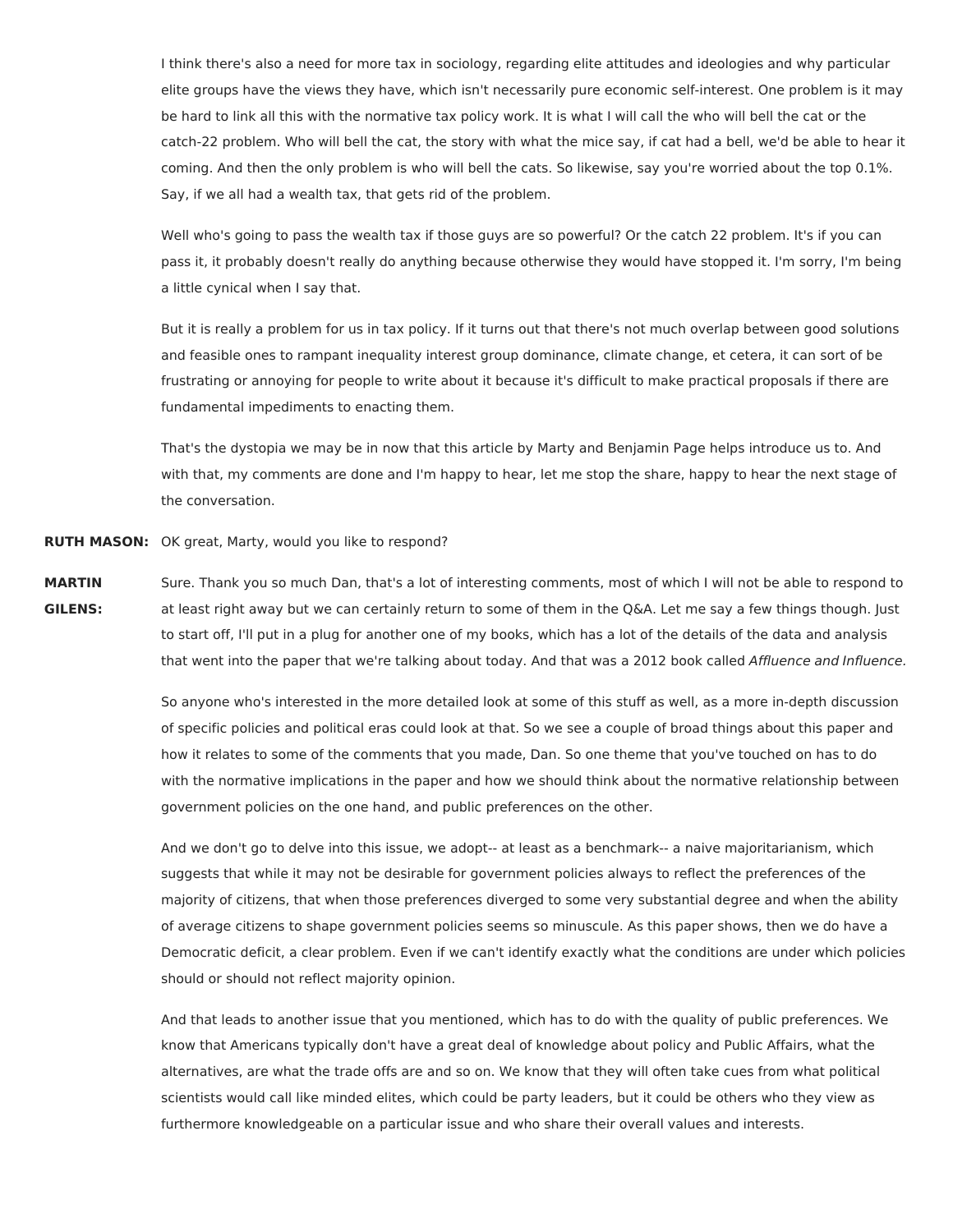I think there's also a need for more tax in sociology, regarding elite attitudes and ideologies and why particular elite groups have the views they have, which isn't necessarily pure economic self-interest. One problem is it may be hard to link all this with the normative tax policy work. It is what I will call the who will bell the cat or the catch-22 problem. Who will bell the cat, the story with what the mice say, if cat had a bell, we'd be able to hear it coming. And then the only problem is who will bell the cats. So likewise, say you're worried about the top 0.1%. Say, if we all had a wealth tax, that gets rid of the problem.

Well who's going to pass the wealth tax if those guys are so powerful? Or the catch 22 problem. It's if you can pass it, it probably doesn't really do anything because otherwise they would have stopped it. I'm sorry, I'm being a little cynical when I say that.

But it is really a problem for us in tax policy. If it turns out that there's not much overlap between good solutions and feasible ones to rampant inequality interest group dominance, climate change, et cetera, it can sort of be frustrating or annoying for people to write about it because it's difficult to make practical proposals if there are fundamental impediments to enacting them.

That's the dystopia we may be in now that this article by Marty and Benjamin Page helps introduce us to. And with that, my comments are done and I'm happy to hear, let me stop the share, happy to hear the next stage of the conversation.

**RUTH MASON:** OK great, Marty, would you like to respond?

**MARTIN GILENS:** Sure. Thank you so much Dan, that's a lot of interesting comments, most of which I will not be able to respond to at least right away but we can certainly return to some of them in the Q&A. Let me say a few things though. Just to start off, I'll put in a plug for another one of my books, which has a lot of the details of the data and analysis that went into the paper that we're talking about today. And that was a 2012 book called Affluence and Influence.

> So anyone who's interested in the more detailed look at some of this stuff as well, as a more in-depth discussion of specific policies and political eras could look at that. So we see a couple of broad things about this paper and how it relates to some of the comments that you made, Dan. So one theme that you've touched on has to do with the normative implications in the paper and how we should think about the normative relationship between government policies on the one hand, and public preferences on the other.

> And we don't go to delve into this issue, we adopt-- at least as a benchmark-- a naive majoritarianism, which suggests that while it may not be desirable for government policies always to reflect the preferences of the majority of citizens, that when those preferences diverged to some very substantial degree and when the ability of average citizens to shape government policies seems so minuscule. As this paper shows, then we do have a Democratic deficit, a clear problem. Even if we can't identify exactly what the conditions are under which policies should or should not reflect majority opinion.

And that leads to another issue that you mentioned, which has to do with the quality of public preferences. We know that Americans typically don't have a great deal of knowledge about policy and Public Affairs, what the alternatives, are what the trade offs are and so on. We know that they will often take cues from what political scientists would call like minded elites, which could be party leaders, but it could be others who they view as furthermore knowledgeable on a particular issue and who share their overall values and interests.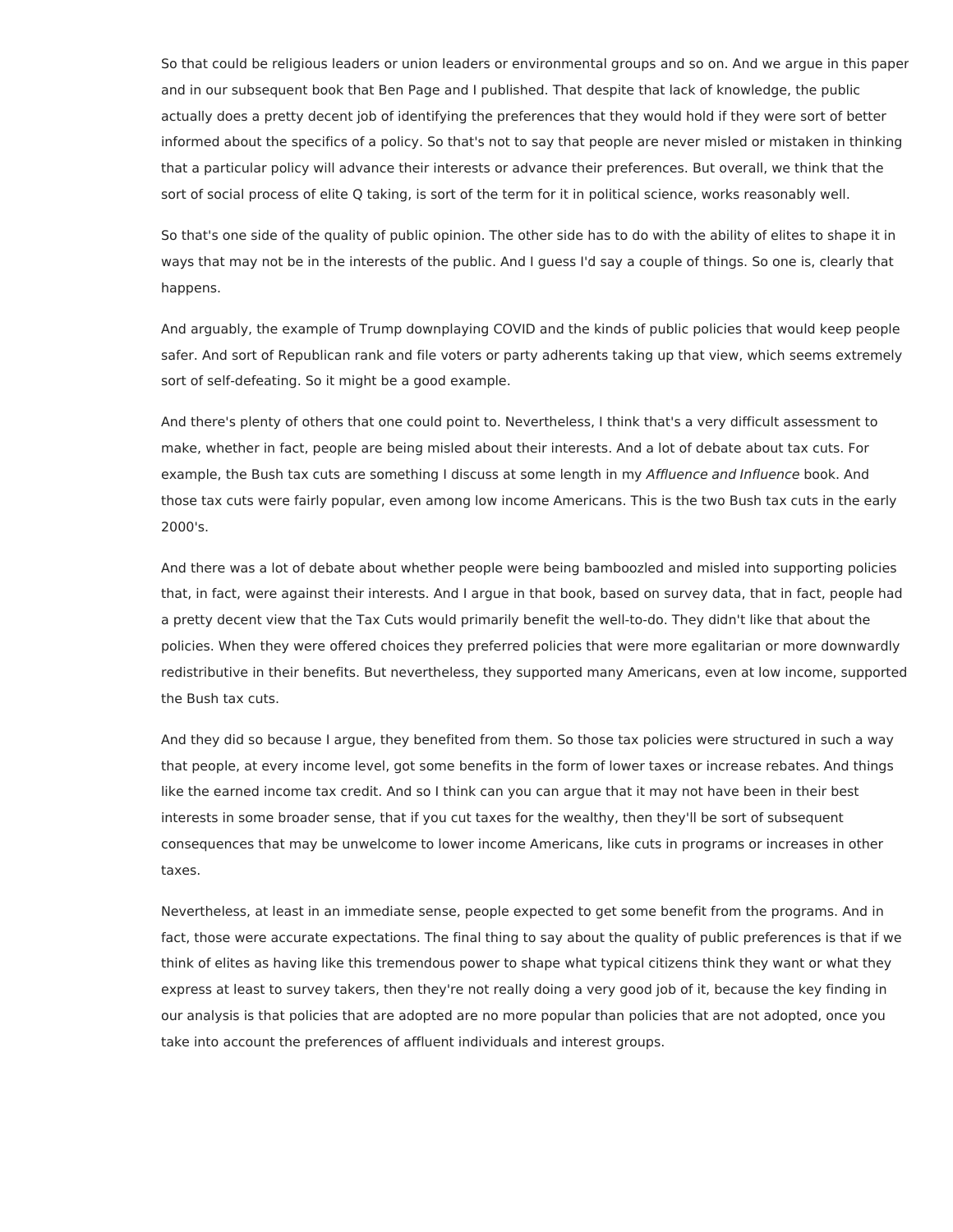So that could be religious leaders or union leaders or environmental groups and so on. And we argue in this paper and in our subsequent book that Ben Page and I published. That despite that lack of knowledge, the public actually does a pretty decent job of identifying the preferences that they would hold if they were sort of better informed about the specifics of a policy. So that's not to say that people are never misled or mistaken in thinking that a particular policy will advance their interests or advance their preferences. But overall, we think that the sort of social process of elite Q taking, is sort of the term for it in political science, works reasonably well.

So that's one side of the quality of public opinion. The other side has to do with the ability of elites to shape it in ways that may not be in the interests of the public. And I guess I'd say a couple of things. So one is, clearly that happens.

And arguably, the example of Trump downplaying COVID and the kinds of public policies that would keep people safer. And sort of Republican rank and file voters or party adherents taking up that view, which seems extremely sort of self-defeating. So it might be a good example.

And there's plenty of others that one could point to. Nevertheless, I think that's a very difficult assessment to make, whether in fact, people are being misled about their interests. And a lot of debate about tax cuts. For example, the Bush tax cuts are something I discuss at some length in my Affluence and Influence book. And those tax cuts were fairly popular, even among low income Americans. This is the two Bush tax cuts in the early 2000's.

And there was a lot of debate about whether people were being bamboozled and misled into supporting policies that, in fact, were against their interests. And I argue in that book, based on survey data, that in fact, people had a pretty decent view that the Tax Cuts would primarily benefit the well-to-do. They didn't like that about the policies. When they were offered choices they preferred policies that were more egalitarian or more downwardly redistributive in their benefits. But nevertheless, they supported many Americans, even at low income, supported the Bush tax cuts.

And they did so because I argue, they benefited from them. So those tax policies were structured in such a way that people, at every income level, got some benefits in the form of lower taxes or increase rebates. And things like the earned income tax credit. And so I think can you can argue that it may not have been in their best interests in some broader sense, that if you cut taxes for the wealthy, then they'll be sort of subsequent consequences that may be unwelcome to lower income Americans, like cuts in programs or increases in other taxes.

Nevertheless, at least in an immediate sense, people expected to get some benefit from the programs. And in fact, those were accurate expectations. The final thing to say about the quality of public preferences is that if we think of elites as having like this tremendous power to shape what typical citizens think they want or what they express at least to survey takers, then they're not really doing a very good job of it, because the key finding in our analysis is that policies that are adopted are no more popular than policies that are not adopted, once you take into account the preferences of affluent individuals and interest groups.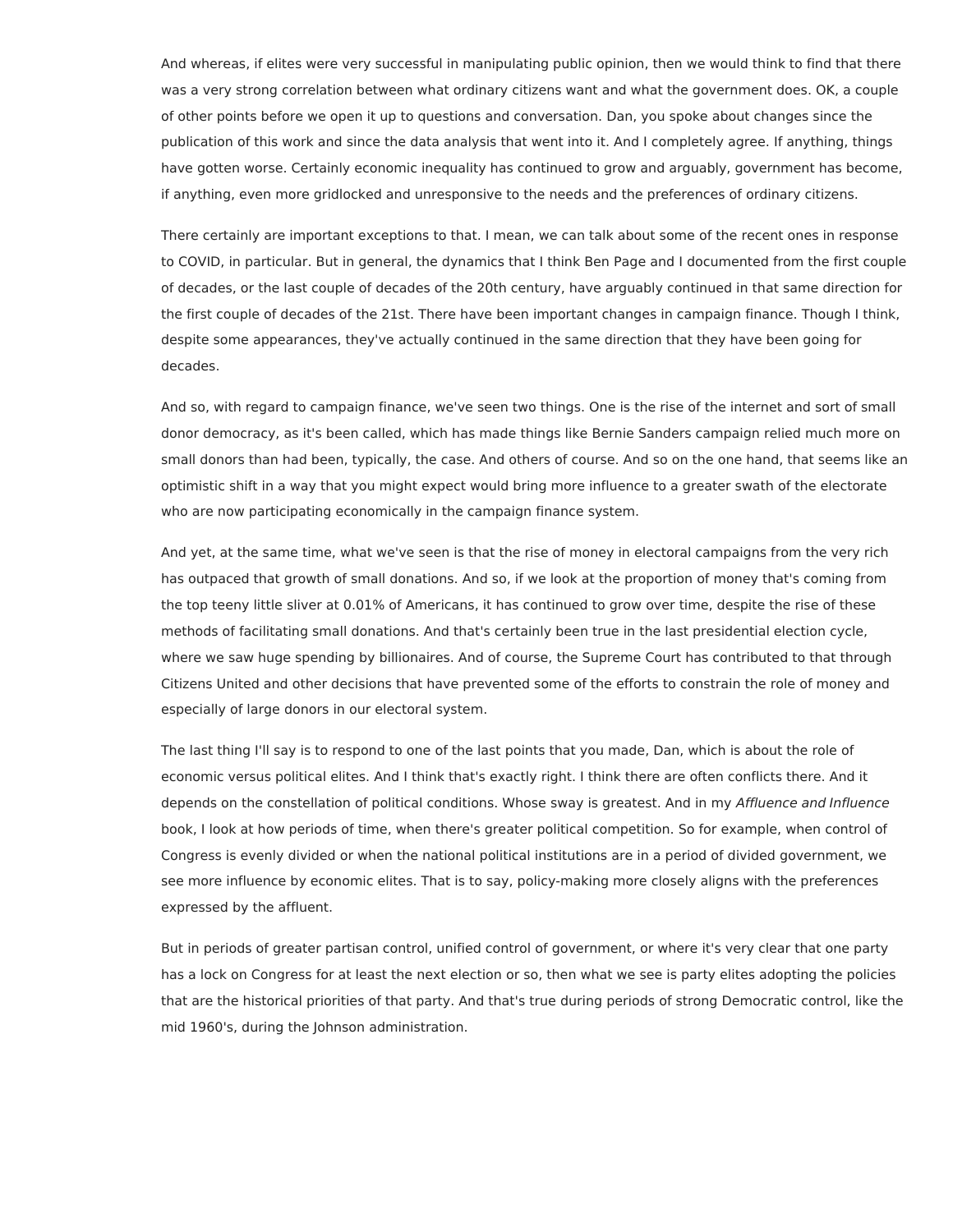And whereas, if elites were very successful in manipulating public opinion, then we would think to find that there was a very strong correlation between what ordinary citizens want and what the government does. OK, a couple of other points before we open it up to questions and conversation. Dan, you spoke about changes since the publication of this work and since the data analysis that went into it. And I completely agree. If anything, things have gotten worse. Certainly economic inequality has continued to grow and arguably, government has become, if anything, even more gridlocked and unresponsive to the needs and the preferences of ordinary citizens.

There certainly are important exceptions to that. I mean, we can talk about some of the recent ones in response to COVID, in particular. But in general, the dynamics that I think Ben Page and I documented from the first couple of decades, or the last couple of decades of the 20th century, have arguably continued in that same direction for the first couple of decades of the 21st. There have been important changes in campaign finance. Though I think, despite some appearances, they've actually continued in the same direction that they have been going for decades.

And so, with regard to campaign finance, we've seen two things. One is the rise of the internet and sort of small donor democracy, as it's been called, which has made things like Bernie Sanders campaign relied much more on small donors than had been, typically, the case. And others of course. And so on the one hand, that seems like an optimistic shift in a way that you might expect would bring more influence to a greater swath of the electorate who are now participating economically in the campaign finance system.

And yet, at the same time, what we've seen is that the rise of money in electoral campaigns from the very rich has outpaced that growth of small donations. And so, if we look at the proportion of money that's coming from the top teeny little sliver at 0.01% of Americans, it has continued to grow over time, despite the rise of these methods of facilitating small donations. And that's certainly been true in the last presidential election cycle, where we saw huge spending by billionaires. And of course, the Supreme Court has contributed to that through Citizens United and other decisions that have prevented some of the efforts to constrain the role of money and especially of large donors in our electoral system.

The last thing I'll say is to respond to one of the last points that you made, Dan, which is about the role of economic versus political elites. And I think that's exactly right. I think there are often conflicts there. And it depends on the constellation of political conditions. Whose sway is greatest. And in my Affluence and Influence book, I look at how periods of time, when there's greater political competition. So for example, when control of Congress is evenly divided or when the national political institutions are in a period of divided government, we see more influence by economic elites. That is to say, policy-making more closely aligns with the preferences expressed by the affluent.

But in periods of greater partisan control, unified control of government, or where it's very clear that one party has a lock on Congress for at least the next election or so, then what we see is party elites adopting the policies that are the historical priorities of that party. And that's true during periods of strong Democratic control, like the mid 1960's, during the Johnson administration.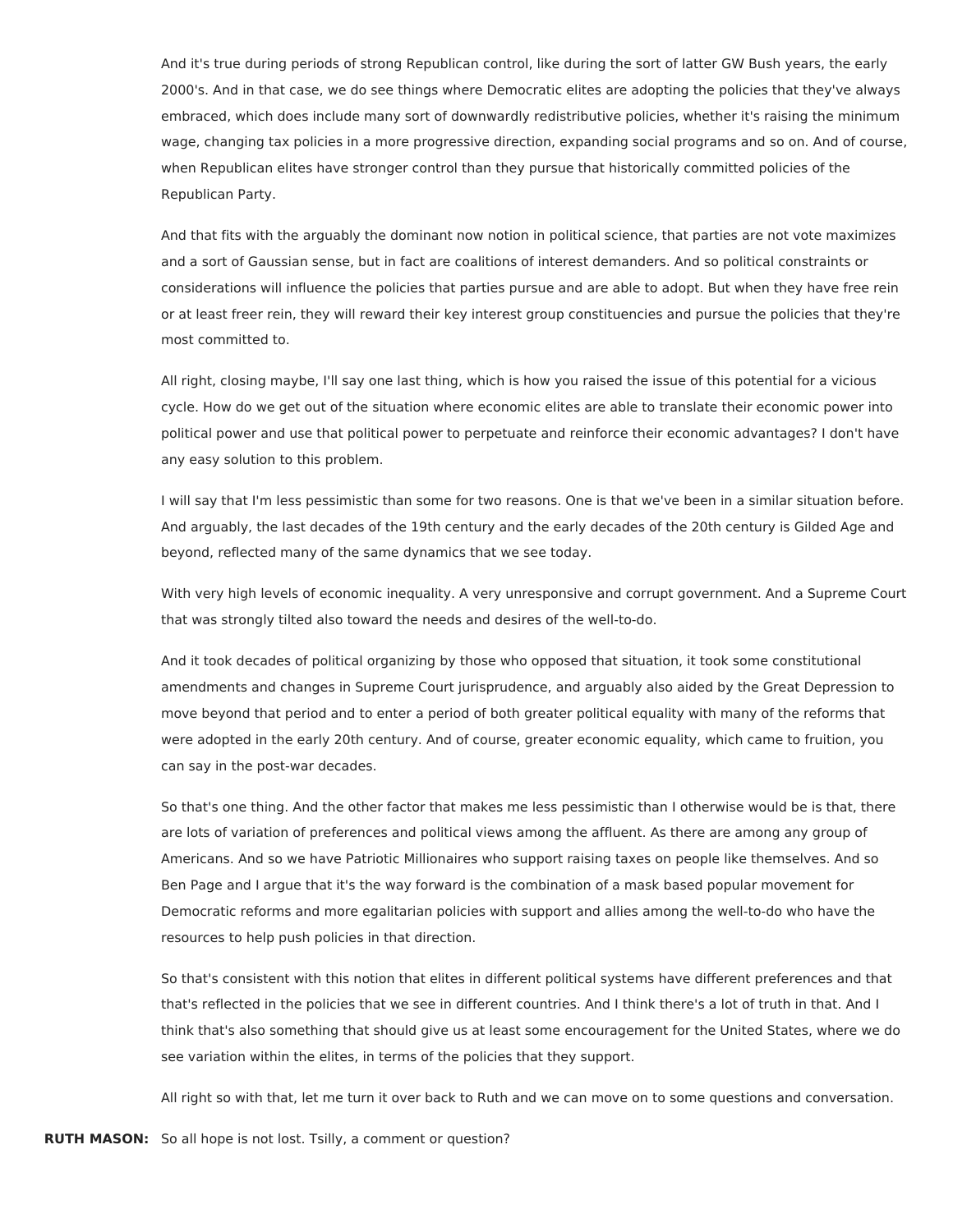And it's true during periods of strong Republican control, like during the sort of latter GW Bush years, the early 2000's. And in that case, we do see things where Democratic elites are adopting the policies that they've always embraced, which does include many sort of downwardly redistributive policies, whether it's raising the minimum wage, changing tax policies in a more progressive direction, expanding social programs and so on. And of course, when Republican elites have stronger control than they pursue that historically committed policies of the Republican Party.

And that fits with the arguably the dominant now notion in political science, that parties are not vote maximizes and a sort of Gaussian sense, but in fact are coalitions of interest demanders. And so political constraints or considerations will influence the policies that parties pursue and are able to adopt. But when they have free rein or at least freer rein, they will reward their key interest group constituencies and pursue the policies that they're most committed to.

All right, closing maybe, I'll say one last thing, which is how you raised the issue of this potential for a vicious cycle. How do we get out of the situation where economic elites are able to translate their economic power into political power and use that political power to perpetuate and reinforce their economic advantages? I don't have any easy solution to this problem.

I will say that I'm less pessimistic than some for two reasons. One is that we've been in a similar situation before. And arguably, the last decades of the 19th century and the early decades of the 20th century is Gilded Age and beyond, reflected many of the same dynamics that we see today.

With very high levels of economic inequality. A very unresponsive and corrupt government. And a Supreme Court that was strongly tilted also toward the needs and desires of the well-to-do.

And it took decades of political organizing by those who opposed that situation, it took some constitutional amendments and changes in Supreme Court jurisprudence, and arguably also aided by the Great Depression to move beyond that period and to enter a period of both greater political equality with many of the reforms that were adopted in the early 20th century. And of course, greater economic equality, which came to fruition, you can say in the post-war decades.

So that's one thing. And the other factor that makes me less pessimistic than I otherwise would be is that, there are lots of variation of preferences and political views among the affluent. As there are among any group of Americans. And so we have Patriotic Millionaires who support raising taxes on people like themselves. And so Ben Page and I argue that it's the way forward is the combination of a mask based popular movement for Democratic reforms and more egalitarian policies with support and allies among the well-to-do who have the resources to help push policies in that direction.

So that's consistent with this notion that elites in different political systems have different preferences and that that's reflected in the policies that we see in different countries. And I think there's a lot of truth in that. And I think that's also something that should give us at least some encouragement for the United States, where we do see variation within the elites, in terms of the policies that they support.

All right so with that, let me turn it over back to Ruth and we can move on to some questions and conversation.

**RUTH MASON:** So all hope is not lost. Tsilly, a comment or question?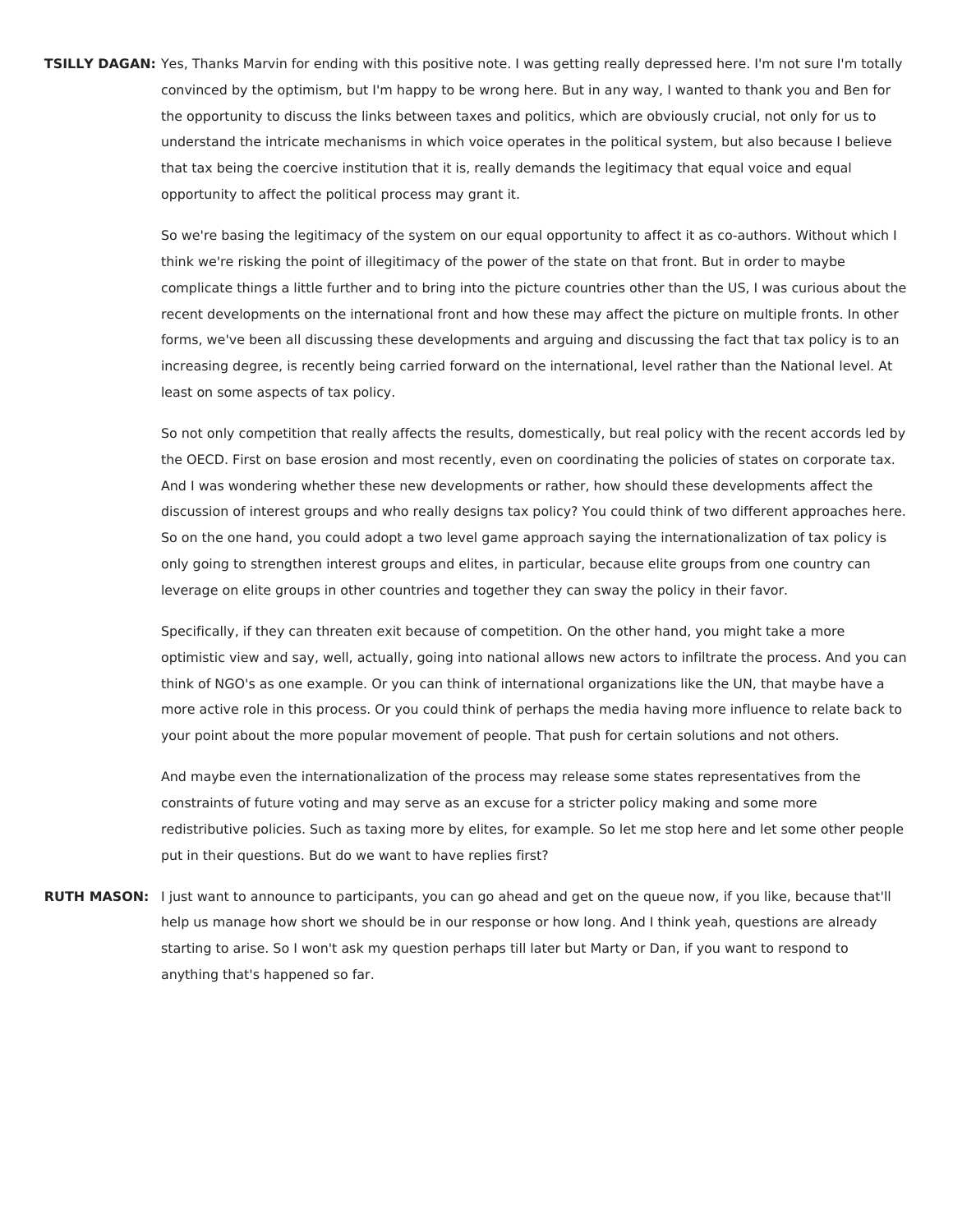**TSILLY DAGAN:** Yes, Thanks Marvin for ending with this positive note. I was getting really depressed here. I'm not sure I'm totally convinced by the optimism, but I'm happy to be wrong here. But in any way, I wanted to thank you and Ben for the opportunity to discuss the links between taxes and politics, which are obviously crucial, not only for us to understand the intricate mechanisms in which voice operates in the political system, but also because I believe that tax being the coercive institution that it is, really demands the legitimacy that equal voice and equal opportunity to affect the political process may grant it.

> So we're basing the legitimacy of the system on our equal opportunity to affect it as co-authors. Without which I think we're risking the point of illegitimacy of the power of the state on that front. But in order to maybe complicate things a little further and to bring into the picture countries other than the US, I was curious about the recent developments on the international front and how these may affect the picture on multiple fronts. In other forms, we've been all discussing these developments and arguing and discussing the fact that tax policy is to an increasing degree, is recently being carried forward on the international, level rather than the National level. At least on some aspects of tax policy.

> So not only competition that really affects the results, domestically, but real policy with the recent accords led by the OECD. First on base erosion and most recently, even on coordinating the policies of states on corporate tax. And I was wondering whether these new developments or rather, how should these developments affect the discussion of interest groups and who really designs tax policy? You could think of two different approaches here. So on the one hand, you could adopt a two level game approach saying the internationalization of tax policy is only going to strengthen interest groups and elites, in particular, because elite groups from one country can leverage on elite groups in other countries and together they can sway the policy in their favor.

> Specifically, if they can threaten exit because of competition. On the other hand, you might take a more optimistic view and say, well, actually, going into national allows new actors to infiltrate the process. And you can think of NGO's as one example. Or you can think of international organizations like the UN, that maybe have a more active role in this process. Or you could think of perhaps the media having more influence to relate back to your point about the more popular movement of people. That push for certain solutions and not others.

> And maybe even the internationalization of the process may release some states representatives from the constraints of future voting and may serve as an excuse for a stricter policy making and some more redistributive policies. Such as taxing more by elites, for example. So let me stop here and let some other people put in their questions. But do we want to have replies first?

**RUTH MASON:** I just want to announce to participants, you can go ahead and get on the queue now, if you like, because that'll help us manage how short we should be in our response or how long. And I think yeah, questions are already starting to arise. So I won't ask my question perhaps till later but Marty or Dan, if you want to respond to anything that's happened so far.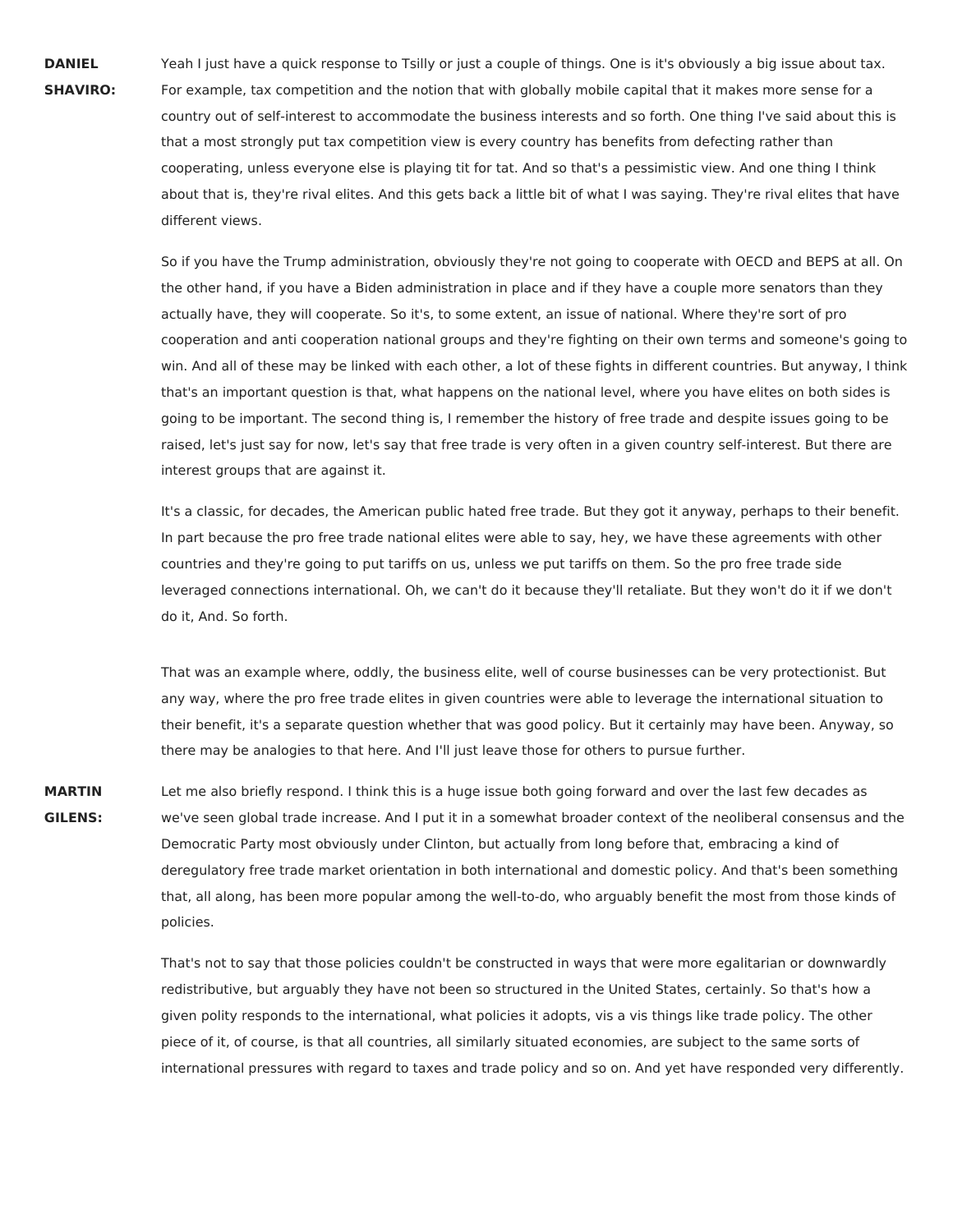**DANIEL SHAVIRO:** Yeah I just have a quick response to Tsilly or just a couple of things. One is it's obviously a big issue about tax. For example, tax competition and the notion that with globally mobile capital that it makes more sense for a country out of self-interest to accommodate the business interests and so forth. One thing I've said about this is that a most strongly put tax competition view is every country has benefits from defecting rather than cooperating, unless everyone else is playing tit for tat. And so that's a pessimistic view. And one thing I think about that is, they're rival elites. And this gets back a little bit of what I was saying. They're rival elites that have different views.

So if you have the Trump administration, obviously they're not going to cooperate with OECD and BEPS at all. On the other hand, if you have a Biden administration in place and if they have a couple more senators than they actually have, they will cooperate. So it's, to some extent, an issue of national. Where they're sort of pro cooperation and anti cooperation national groups and they're fighting on their own terms and someone's going to win. And all of these may be linked with each other, a lot of these fights in different countries. But anyway, I think that's an important question is that, what happens on the national level, where you have elites on both sides is going to be important. The second thing is, I remember the history of free trade and despite issues going to be raised, let's just say for now, let's say that free trade is very often in a given country self-interest. But there are interest groups that are against it.

It's a classic, for decades, the American public hated free trade. But they got it anyway, perhaps to their benefit. In part because the pro free trade national elites were able to say, hey, we have these agreements with other countries and they're going to put tariffs on us, unless we put tariffs on them. So the pro free trade side leveraged connections international. Oh, we can't do it because they'll retaliate. But they won't do it if we don't do it, And. So forth.

That was an example where, oddly, the business elite, well of course businesses can be very protectionist. But any way, where the pro free trade elites in given countries were able to leverage the international situation to their benefit, it's a separate question whether that was good policy. But it certainly may have been. Anyway, so there may be analogies to that here. And I'll just leave those for others to pursue further.

**MARTIN GILENS:** Let me also briefly respond. I think this is a huge issue both going forward and over the last few decades as we've seen global trade increase. And I put it in a somewhat broader context of the neoliberal consensus and the Democratic Party most obviously under Clinton, but actually from long before that, embracing a kind of deregulatory free trade market orientation in both international and domestic policy. And that's been something that, all along, has been more popular among the well-to-do, who arguably benefit the most from those kinds of policies.

> That's not to say that those policies couldn't be constructed in ways that were more egalitarian or downwardly redistributive, but arguably they have not been so structured in the United States, certainly. So that's how a given polity responds to the international, what policies it adopts, vis a vis things like trade policy. The other piece of it, of course, is that all countries, all similarly situated economies, are subject to the same sorts of international pressures with regard to taxes and trade policy and so on. And yet have responded very differently.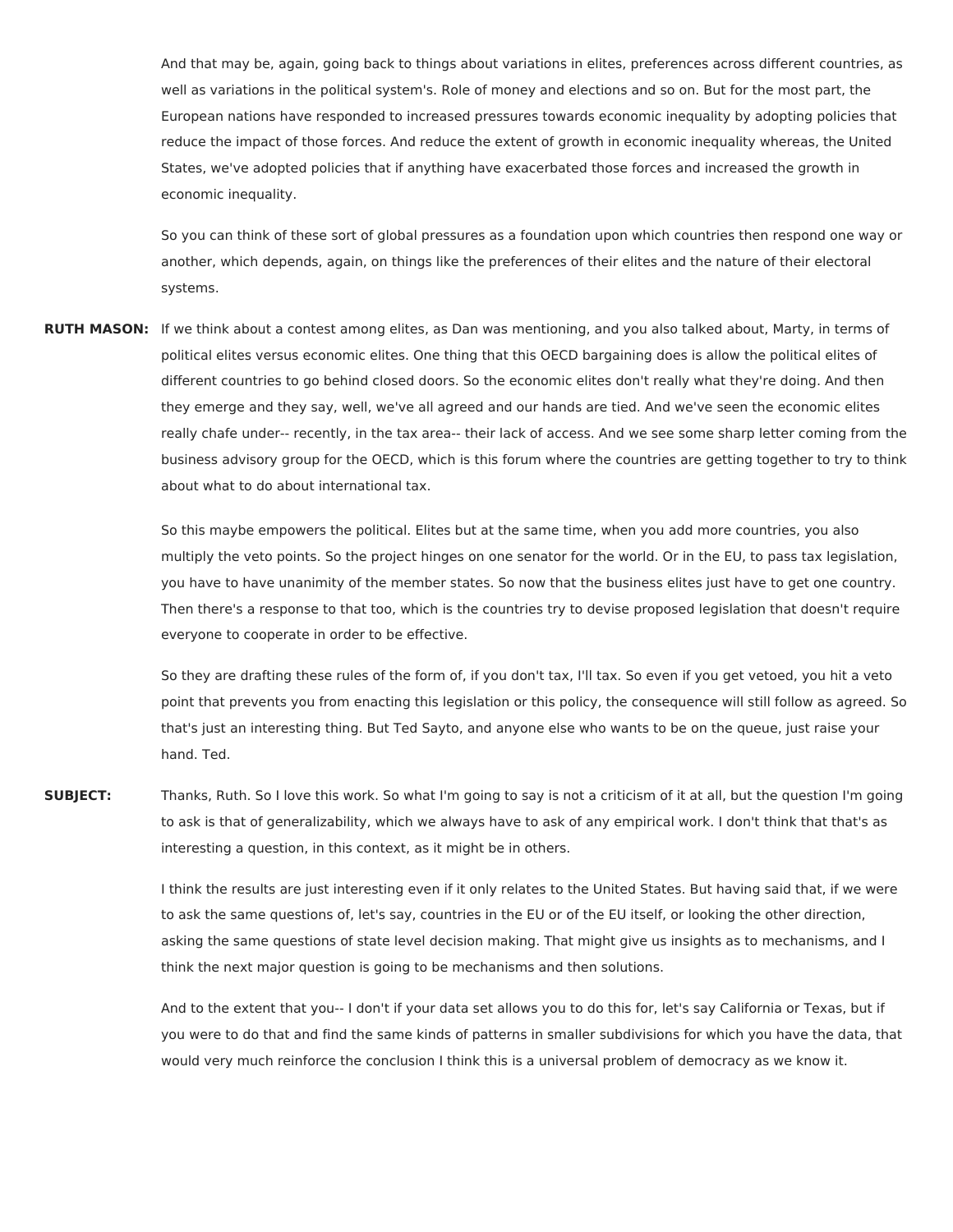And that may be, again, going back to things about variations in elites, preferences across different countries, as well as variations in the political system's. Role of money and elections and so on. But for the most part, the European nations have responded to increased pressures towards economic inequality by adopting policies that reduce the impact of those forces. And reduce the extent of growth in economic inequality whereas, the United States, we've adopted policies that if anything have exacerbated those forces and increased the growth in economic inequality.

So you can think of these sort of global pressures as a foundation upon which countries then respond one way or another, which depends, again, on things like the preferences of their elites and the nature of their electoral systems.

**RUTH MASON:** If we think about a contest among elites, as Dan was mentioning, and you also talked about, Marty, in terms of political elites versus economic elites. One thing that this OECD bargaining does is allow the political elites of different countries to go behind closed doors. So the economic elites don't really what they're doing. And then they emerge and they say, well, we've all agreed and our hands are tied. And we've seen the economic elites really chafe under-- recently, in the tax area-- their lack of access. And we see some sharp letter coming from the business advisory group for the OECD, which is this forum where the countries are getting together to try to think about what to do about international tax.

> So this maybe empowers the political. Elites but at the same time, when you add more countries, you also multiply the veto points. So the project hinges on one senator for the world. Or in the EU, to pass tax legislation, you have to have unanimity of the member states. So now that the business elites just have to get one country. Then there's a response to that too, which is the countries try to devise proposed legislation that doesn't require everyone to cooperate in order to be effective.

So they are drafting these rules of the form of, if you don't tax, I'll tax. So even if you get vetoed, you hit a veto point that prevents you from enacting this legislation or this policy, the consequence will still follow as agreed. So that's just an interesting thing. But Ted Sayto, and anyone else who wants to be on the queue, just raise your hand. Ted.

**SUBJECT:** Thanks, Ruth. So I love this work. So what I'm going to say is not a criticism of it at all, but the question I'm going to ask is that of generalizability, which we always have to ask of any empirical work. I don't think that that's as interesting a question, in this context, as it might be in others.

> I think the results are just interesting even if it only relates to the United States. But having said that, if we were to ask the same questions of, let's say, countries in the EU or of the EU itself, or looking the other direction, asking the same questions of state level decision making. That might give us insights as to mechanisms, and I think the next major question is going to be mechanisms and then solutions.

> And to the extent that you-- I don't if your data set allows you to do this for, let's say California or Texas, but if you were to do that and find the same kinds of patterns in smaller subdivisions for which you have the data, that would very much reinforce the conclusion I think this is a universal problem of democracy as we know it.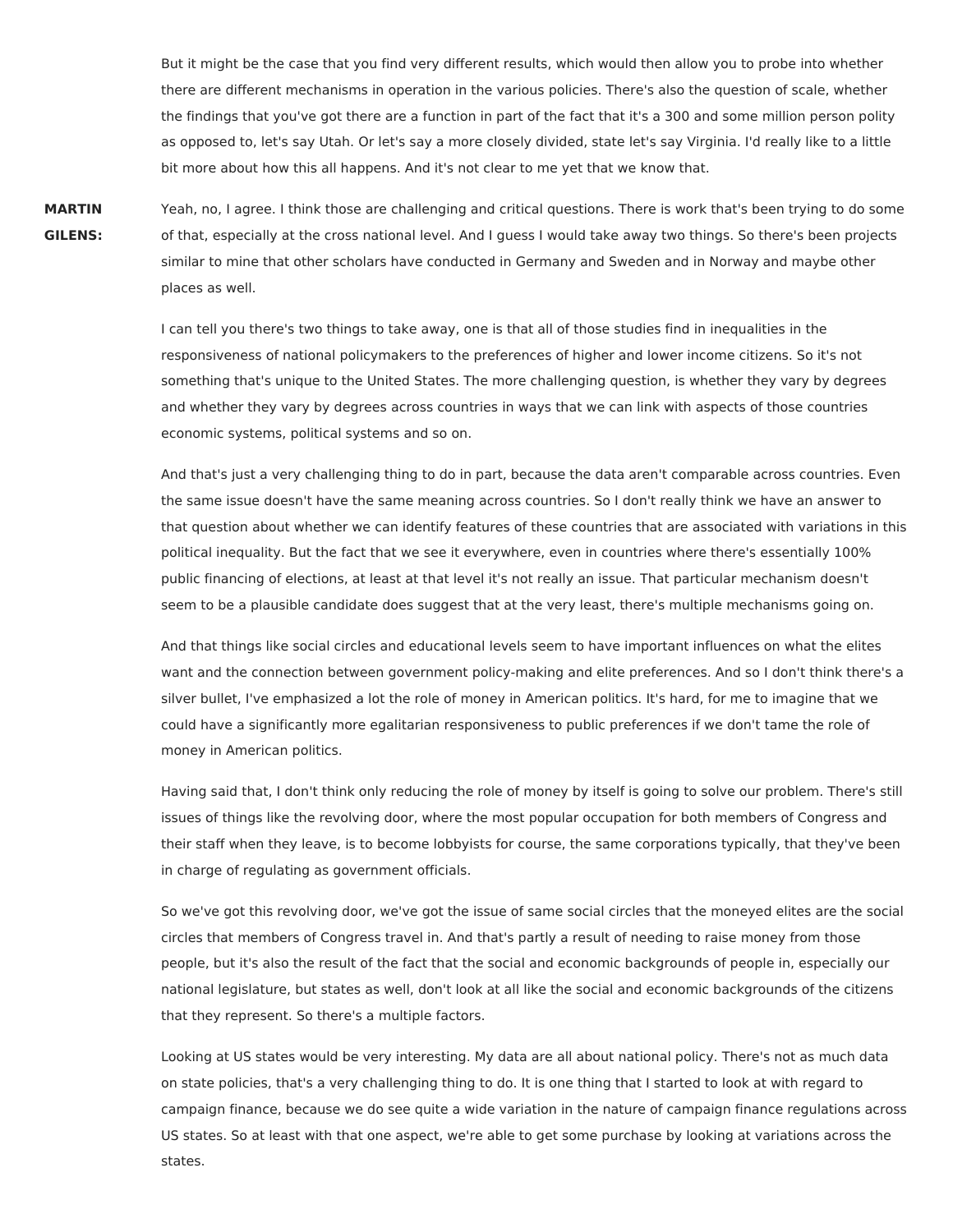But it might be the case that you find very different results, which would then allow you to probe into whether there are different mechanisms in operation in the various policies. There's also the question of scale, whether the findings that you've got there are a function in part of the fact that it's a 300 and some million person polity as opposed to, let's say Utah. Or let's say a more closely divided, state let's say Virginia. I'd really like to a little bit more about how this all happens. And it's not clear to me yet that we know that.

**MARTIN GILENS:** Yeah, no, I agree. I think those are challenging and critical questions. There is work that's been trying to do some of that, especially at the cross national level. And I guess I would take away two things. So there's been projects similar to mine that other scholars have conducted in Germany and Sweden and in Norway and maybe other places as well.

I can tell you there's two things to take away, one is that all of those studies find in inequalities in the responsiveness of national policymakers to the preferences of higher and lower income citizens. So it's not something that's unique to the United States. The more challenging question, is whether they vary by degrees and whether they vary by degrees across countries in ways that we can link with aspects of those countries economic systems, political systems and so on.

And that's just a very challenging thing to do in part, because the data aren't comparable across countries. Even the same issue doesn't have the same meaning across countries. So I don't really think we have an answer to that question about whether we can identify features of these countries that are associated with variations in this political inequality. But the fact that we see it everywhere, even in countries where there's essentially 100% public financing of elections, at least at that level it's not really an issue. That particular mechanism doesn't seem to be a plausible candidate does suggest that at the very least, there's multiple mechanisms going on.

And that things like social circles and educational levels seem to have important influences on what the elites want and the connection between government policy-making and elite preferences. And so I don't think there's a silver bullet, I've emphasized a lot the role of money in American politics. It's hard, for me to imagine that we could have a significantly more egalitarian responsiveness to public preferences if we don't tame the role of money in American politics.

Having said that, I don't think only reducing the role of money by itself is going to solve our problem. There's still issues of things like the revolving door, where the most popular occupation for both members of Congress and their staff when they leave, is to become lobbyists for course, the same corporations typically, that they've been in charge of regulating as government officials.

So we've got this revolving door, we've got the issue of same social circles that the moneyed elites are the social circles that members of Congress travel in. And that's partly a result of needing to raise money from those people, but it's also the result of the fact that the social and economic backgrounds of people in, especially our national legislature, but states as well, don't look at all like the social and economic backgrounds of the citizens that they represent. So there's a multiple factors.

Looking at US states would be very interesting. My data are all about national policy. There's not as much data on state policies, that's a very challenging thing to do. It is one thing that I started to look at with regard to campaign finance, because we do see quite a wide variation in the nature of campaign finance regulations across US states. So at least with that one aspect, we're able to get some purchase by looking at variations across the states.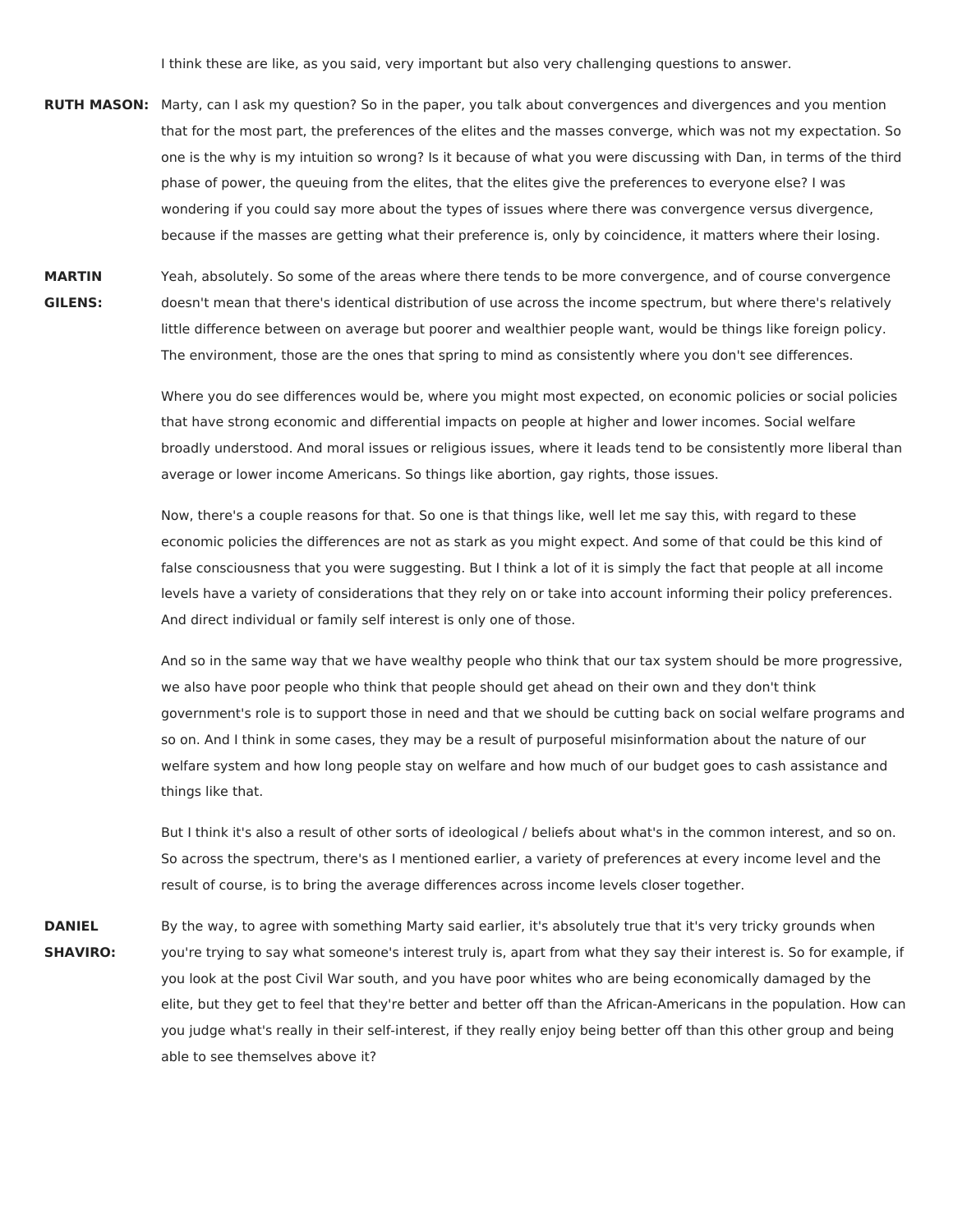I think these are like, as you said, very important but also very challenging questions to answer.

- **RUTH MASON:** Marty, can I ask my question? So in the paper, you talk about convergences and divergences and you mention that for the most part, the preferences of the elites and the masses converge, which was not my expectation. So one is the why is my intuition so wrong? Is it because of what you were discussing with Dan, in terms of the third phase of power, the queuing from the elites, that the elites give the preferences to everyone else? I was wondering if you could say more about the types of issues where there was convergence versus divergence, because if the masses are getting what their preference is, only by coincidence, it matters where their losing.
- **MARTIN GILENS:** Yeah, absolutely. So some of the areas where there tends to be more convergence, and of course convergence doesn't mean that there's identical distribution of use across the income spectrum, but where there's relatively little difference between on average but poorer and wealthier people want, would be things like foreign policy. The environment, those are the ones that spring to mind as consistently where you don't see differences.

Where you do see differences would be, where you might most expected, on economic policies or social policies that have strong economic and differential impacts on people at higher and lower incomes. Social welfare broadly understood. And moral issues or religious issues, where it leads tend to be consistently more liberal than average or lower income Americans. So things like abortion, gay rights, those issues.

Now, there's a couple reasons for that. So one is that things like, well let me say this, with regard to these economic policies the differences are not as stark as you might expect. And some of that could be this kind of false consciousness that you were suggesting. But I think a lot of it is simply the fact that people at all income levels have a variety of considerations that they rely on or take into account informing their policy preferences. And direct individual or family self interest is only one of those.

And so in the same way that we have wealthy people who think that our tax system should be more progressive, we also have poor people who think that people should get ahead on their own and they don't think government's role is to support those in need and that we should be cutting back on social welfare programs and so on. And I think in some cases, they may be a result of purposeful misinformation about the nature of our welfare system and how long people stay on welfare and how much of our budget goes to cash assistance and things like that.

But I think it's also a result of other sorts of ideological / beliefs about what's in the common interest, and so on. So across the spectrum, there's as I mentioned earlier, a variety of preferences at every income level and the result of course, is to bring the average differences across income levels closer together.

**DANIEL SHAVIRO:** By the way, to agree with something Marty said earlier, it's absolutely true that it's very tricky grounds when you're trying to say what someone's interest truly is, apart from what they say their interest is. So for example, if you look at the post Civil War south, and you have poor whites who are being economically damaged by the elite, but they get to feel that they're better and better off than the African-Americans in the population. How can you judge what's really in their self-interest, if they really enjoy being better off than this other group and being able to see themselves above it?